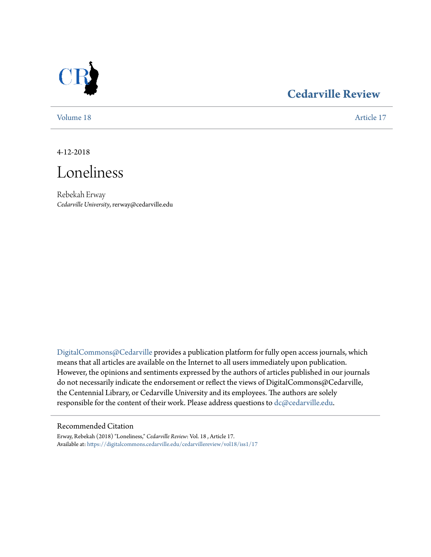

## **[Cedarville Review](https://digitalcommons.cedarville.edu/cedarvillereview?utm_source=digitalcommons.cedarville.edu%2Fcedarvillereview%2Fvol18%2Fiss1%2F17&utm_medium=PDF&utm_campaign=PDFCoverPages)**

[Volume 18](https://digitalcommons.cedarville.edu/cedarvillereview/vol18?utm_source=digitalcommons.cedarville.edu%2Fcedarvillereview%2Fvol18%2Fiss1%2F17&utm_medium=PDF&utm_campaign=PDFCoverPages) [Article 17](https://digitalcommons.cedarville.edu/cedarvillereview/vol18/iss1/17?utm_source=digitalcommons.cedarville.edu%2Fcedarvillereview%2Fvol18%2Fiss1%2F17&utm_medium=PDF&utm_campaign=PDFCoverPages)

4-12-2018



Rebekah Erway *Cedarville University*, rerway@cedarville.edu

[DigitalCommons@Cedarville](http://digitalcommons.cedarville.edu/) provides a publication platform for fully open access journals, which means that all articles are available on the Internet to all users immediately upon publication. However, the opinions and sentiments expressed by the authors of articles published in our journals do not necessarily indicate the endorsement or reflect the views of DigitalCommons@Cedarville, the Centennial Library, or Cedarville University and its employees. The authors are solely responsible for the content of their work. Please address questions to [dc@cedarville.edu](mailto:dc@cedarville.edu).

#### Recommended Citation

Erway, Rebekah (2018) "Loneliness," *Cedarville Review*: Vol. 18 , Article 17. Available at: [https://digitalcommons.cedarville.edu/cedarvillereview/vol18/iss1/17](https://digitalcommons.cedarville.edu/cedarvillereview/vol18/iss1/17?utm_source=digitalcommons.cedarville.edu%2Fcedarvillereview%2Fvol18%2Fiss1%2F17&utm_medium=PDF&utm_campaign=PDFCoverPages)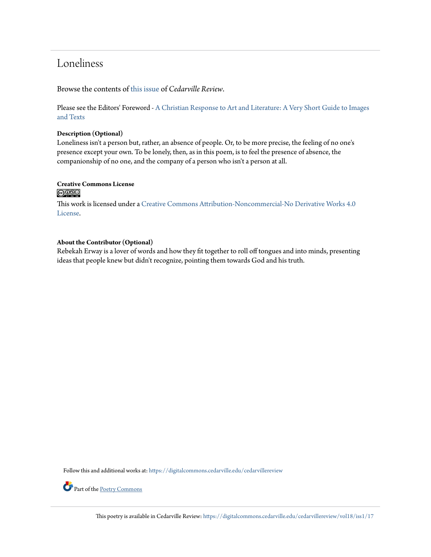## Loneliness

Browse the contents of [this issue](https://digitalcommons.cedarville.edu/cedarvillereview/vol18/iss1) of *Cedarville Review*.

Please see the Editors' Foreword - [A Christian Response to Art and Literature: A Very Short Guide to Images](http://digitalcommons.cedarville.edu/cedarvillereview/vol18/iss1/1/) [and Texts](http://digitalcommons.cedarville.edu/cedarvillereview/vol18/iss1/1/)

#### **Description (Optional)**

Loneliness isn't a person but, rather, an absence of people. Or, to be more precise, the feeling of no one's presence except your own. To be lonely, then, as in this poem, is to feel the presence of absence, the companionship of no one, and the company of a person who isn't a person at all.

### **Creative Commons License**

 $\bigcirc$   $\circ$ 

This work is licensed under a [Creative Commons Attribution-Noncommercial-No Derivative Works 4.0](http://creativecommons.org/licenses/by-nc-nd/4.0/) [License.](http://creativecommons.org/licenses/by-nc-nd/4.0/)

#### **About the Contributor (Optional)**

Rebekah Erway is a lover of words and how they fit together to roll off tongues and into minds, presenting ideas that people knew but didn't recognize, pointing them towards God and his truth.

Follow this and additional works at: [https://digitalcommons.cedarville.edu/cedarvillereview](https://digitalcommons.cedarville.edu/cedarvillereview?utm_source=digitalcommons.cedarville.edu%2Fcedarvillereview%2Fvol18%2Fiss1%2F17&utm_medium=PDF&utm_campaign=PDFCoverPages)



Part of the [Poetry Commons](http://network.bepress.com/hgg/discipline/1153?utm_source=digitalcommons.cedarville.edu%2Fcedarvillereview%2Fvol18%2Fiss1%2F17&utm_medium=PDF&utm_campaign=PDFCoverPages)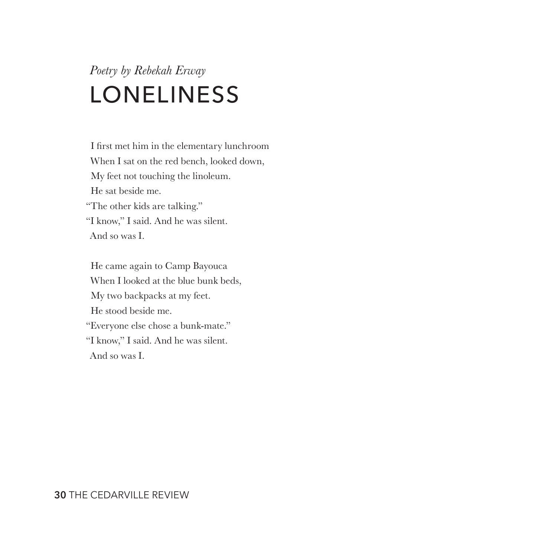# *Poetry by Rebekah Erway* LONELINESS

I first met him in the elementary lunchroom When I sat on the red bench, looked down, My feet not touching the linoleum. He sat beside me. "The other kids are talking." "I know," I said. And he was silent. And so was I.

He came again to Camp Bayouca When I looked at the blue bunk beds, My two backpacks at my feet. He stood beside me. "Everyone else chose a bunk-mate." "I know," I said. And he was silent. And so was I.

**30** THE CEDARVILLE REVIEW